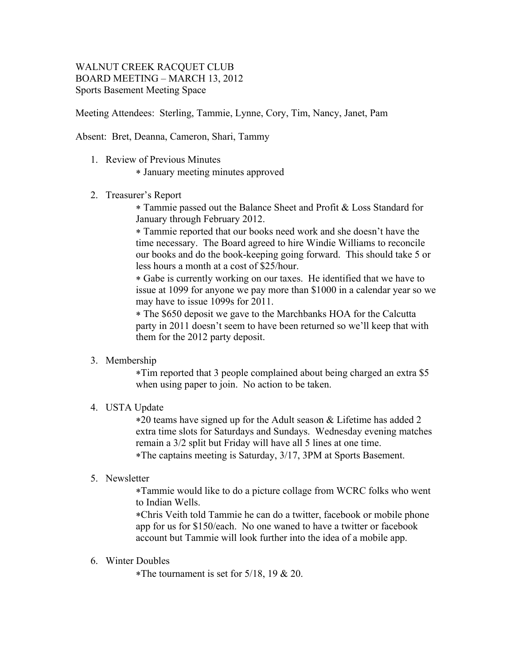# WALNUT CREEK RACQUET CLUB BOARD MEETING – MARCH 13, 2012 Sports Basement Meeting Space

Meeting Attendees: Sterling, Tammie, Lynne, Cory, Tim, Nancy, Janet, Pam

Absent: Bret, Deanna, Cameron, Shari, Tammy

1. Review of Previous Minutes

\* January meeting minutes approved

2. Treasurer's Report

\* Tammie passed out the Balance Sheet and Profit & Loss Standard for January through February 2012.

\* Tammie reported that our books need work and she doesn't have the time necessary. The Board agreed to hire Windie Williams to reconcile our books and do the book-keeping going forward. This should take 5 or less hours a month at a cost of \$25/hour.

\* Gabe is currently working on our taxes. He identified that we have to issue at 1099 for anyone we pay more than \$1000 in a calendar year so we may have to issue 1099s for 2011.

\* The \$650 deposit we gave to the Marchbanks HOA for the Calcutta party in 2011 doesn't seem to have been returned so we'll keep that with them for the 2012 party deposit.

## 3. Membership

\*Tim reported that 3 people complained about being charged an extra \$5 when using paper to join. No action to be taken.

## 4. USTA Update

\*20 teams have signed up for the Adult season & Lifetime has added 2 extra time slots for Saturdays and Sundays. Wednesday evening matches remain a 3/2 split but Friday will have all 5 lines at one time. \*The captains meeting is Saturday, 3/17, 3PM at Sports Basement.

## 5. Newsletter

\*Tammie would like to do a picture collage from WCRC folks who went to Indian Wells.

\*Chris Veith told Tammie he can do a twitter, facebook or mobile phone app for us for \$150/each. No one waned to have a twitter or facebook account but Tammie will look further into the idea of a mobile app.

### 6. Winter Doubles

\*The tournament is set for  $5/18$ , 19 & 20.